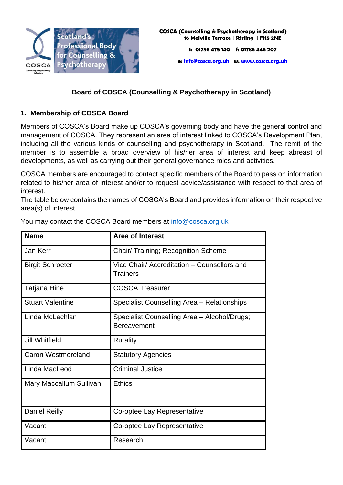

# **Board of COSCA (Counselling & Psychotherapy in Scotland)**

## **1. Membership of COSCA Board**

Members of COSCA's Board make up COSCA's governing body and have the general control and management of COSCA. They represent an area of interest linked to COSCA's Development Plan, including all the various kinds of counselling and psychotherapy in Scotland. The remit of the member is to assemble a broad overview of his/her area of interest and keep abreast of developments, as well as carrying out their general governance roles and activities.

COSCA members are encouraged to contact specific members of the Board to pass on information related to his/her area of interest and/or to request advice/assistance with respect to that area of interest.

The table below contains the names of COSCA's Board and provides information on their respective area(s) of interest.

| <b>Name</b>               | <b>Area of Interest</b>                                            |
|---------------------------|--------------------------------------------------------------------|
| Jan Kerr                  | Chair/ Training; Recognition Scheme                                |
| <b>Birgit Schroeter</b>   | Vice Chair/ Accreditation – Counsellors and<br><b>Trainers</b>     |
| Tatjana Hine              | <b>COSCA Treasurer</b>                                             |
| <b>Stuart Valentine</b>   | Specialist Counselling Area - Relationships                        |
| Linda McLachlan           | Specialist Counselling Area - Alcohol/Drugs;<br><b>Bereavement</b> |
| Jill Whitfield            | Rurality                                                           |
| <b>Caron Westmoreland</b> | <b>Statutory Agencies</b>                                          |
| Linda MacLeod             | <b>Criminal Justice</b>                                            |
| Mary Maccallum Sullivan   | <b>Ethics</b>                                                      |
| <b>Daniel Reilly</b>      | Co-optee Lay Representative                                        |
| Vacant                    | Co-optee Lay Representative                                        |
| Vacant                    | Research                                                           |

You may contact the COSCA Board members at [info@cosca.org.uk](mailto:info@cosca.org.uk)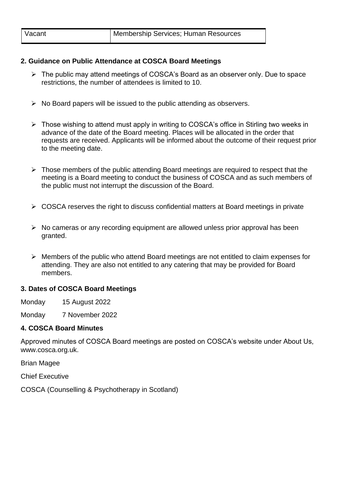### **2. Guidance on Public Attendance at COSCA Board Meetings**

- ➢ The public may attend meetings of COSCA's Board as an observer only. Due to space restrictions, the number of attendees is limited to 10.
- $\triangleright$  No Board papers will be issued to the public attending as observers.
- ➢ Those wishing to attend must apply in writing to COSCA's office in Stirling two weeks in advance of the date of the Board meeting. Places will be allocated in the order that requests are received. Applicants will be informed about the outcome of their request prior to the meeting date.
- $\triangleright$  Those members of the public attending Board meetings are required to respect that the meeting is a Board meeting to conduct the business of COSCA and as such members of the public must not interrupt the discussion of the Board.
- $\triangleright$  COSCA reserves the right to discuss confidential matters at Board meetings in private
- ➢ No cameras or any recording equipment are allowed unless prior approval has been granted.
- ➢ Members of the public who attend Board meetings are not entitled to claim expenses for attending. They are also not entitled to any catering that may be provided for Board members.

### **3. Dates of COSCA Board Meetings**

Monday 15 August 2022

Monday 7 November 2022

### **4. COSCA Board Minutes**

Approved minutes of COSCA Board meetings are posted on COSCA's website under About Us, www.cosca.org.uk.

Brian Magee

Chief Executive

COSCA (Counselling & Psychotherapy in Scotland)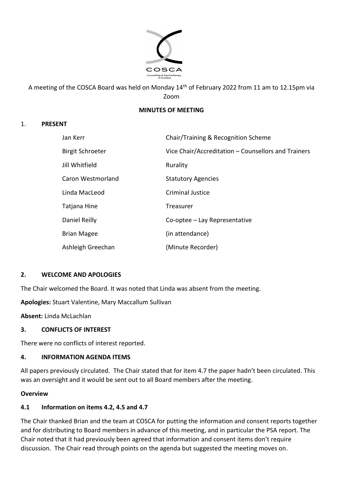

A meeting of the COSCA Board was held on Monday 14th of February 2022 from 11 am to 12.15pm via Zoom

### **MINUTES OF MEETING**

### 1. **PRESENT**

| Jan Kerr                | Chair/Training & Recognition Scheme                 |
|-------------------------|-----------------------------------------------------|
| <b>Birgit Schroeter</b> | Vice Chair/Accreditation – Counsellors and Trainers |
| Jill Whitfield          | Rurality                                            |
| Caron Westmorland       | <b>Statutory Agencies</b>                           |
| Linda MacLeod           | Criminal Justice                                    |
| Tatjana Hine            | <b>Treasurer</b>                                    |
| Daniel Reilly           | Co-optee – Lay Representative                       |
| <b>Brian Magee</b>      | (in attendance)                                     |
| Ashleigh Greechan       | (Minute Recorder)                                   |

### **2. WELCOME AND APOLOGIES**

The Chair welcomed the Board. It was noted that Linda was absent from the meeting.

**Apologies:** Stuart Valentine, Mary Maccallum Sullivan

**Absent:** Linda McLachlan

#### **3. CONFLICTS OF INTEREST**

There were no conflicts of interest reported.

### **4. INFORMATION AGENDA ITEMS**

All papers previously circulated. The Chair stated that for item 4.7 the paper hadn't been circulated. This was an oversight and it would be sent out to all Board members after the meeting.

### **Overview**

### **4.1 Information on items 4.2, 4.5 and 4.7**

The Chair thanked Brian and the team at COSCA for putting the information and consent reports together and for distributing to Board members in advance of this meeting, and in particular the PSA report. The Chair noted that it had previously been agreed that information and consent items don't require discussion. The Chair read through points on the agenda but suggested the meeting moves on.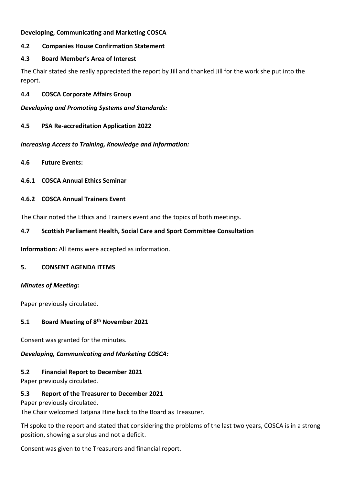### **Developing, Communicating and Marketing COSCA**

### **4.2 Companies House Confirmation Statement**

### **4.3 Board Member's Area of Interest**

The Chair stated she really appreciated the report by Jill and thanked Jill for the work she put into the report.

**4.4 COSCA Corporate Affairs Group**

*Developing and Promoting Systems and Standards:*

**4.5 PSA Re-accreditation Application 2022**

*Increasing Access to Training, Knowledge and Information:*

- **4.6 Future Events:**
- **4.6.1 COSCA Annual Ethics Seminar**

#### **4.6.2 COSCA Annual Trainers Event**

The Chair noted the Ethics and Trainers event and the topics of both meetings.

### **4.7 Scottish Parliament Health, Social Care and Sport Committee Consultation**

**Information:** All items were accepted as information.

#### **5. CONSENT AGENDA ITEMS**

#### *Minutes of Meeting:*

Paper previously circulated.

### **5.1 Board Meeting of 8th November 2021**

Consent was granted for the minutes.

### *Developing, Communicating and Marketing COSCA:*

### **5.2 Financial Report to December 2021**

Paper previously circulated.

#### **5.3 Report of the Treasurer to December 2021**

Paper previously circulated.

The Chair welcomed Tatjana Hine back to the Board as Treasurer.

TH spoke to the report and stated that considering the problems of the last two years, COSCA is in a strong position, showing a surplus and not a deficit.

Consent was given to the Treasurers and financial report.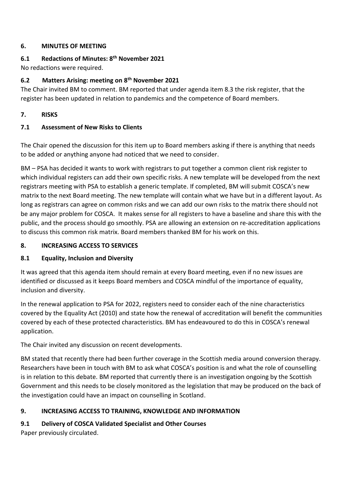### **6. MINUTES OF MEETING**

## **6.1 Redactions of Minutes: 8th November 2021**

No redactions were required.

## **6.2 Matters Arising: meeting on 8th November 2021**

The Chair invited BM to comment. BM reported that under agenda item 8.3 the risk register, that the register has been updated in relation to pandemics and the competence of Board members.

## **7. RISKS**

## **7.1 Assessment of New Risks to Clients**

The Chair opened the discussion for this item up to Board members asking if there is anything that needs to be added or anything anyone had noticed that we need to consider.

BM – PSA has decided it wants to work with registrars to put together a common client risk register to which individual registers can add their own specific risks. A new template will be developed from the next registrars meeting with PSA to establish a generic template. If completed, BM will submit COSCA's new matrix to the next Board meeting. The new template will contain what we have but in a different layout. As long as registrars can agree on common risks and we can add our own risks to the matrix there should not be any major problem for COSCA. It makes sense for all registers to have a baseline and share this with the public, and the process should go smoothly. PSA are allowing an extension on re-accreditation applications to discuss this common risk matrix. Board members thanked BM for his work on this.

## **8. INCREASING ACCESS TO SERVICES**

## **8.1 Equality, Inclusion and Diversity**

It was agreed that this agenda item should remain at every Board meeting, even if no new issues are identified or discussed as it keeps Board members and COSCA mindful of the importance of equality, inclusion and diversity.

In the renewal application to PSA for 2022, registers need to consider each of the nine characteristics covered by the Equality Act (2010) and state how the renewal of accreditation will benefit the communities covered by each of these protected characteristics. BM has endeavoured to do this in COSCA's renewal application.

The Chair invited any discussion on recent developments.

BM stated that recently there had been further coverage in the Scottish media around conversion therapy. Researchers have been in touch with BM to ask what COSCA's position is and what the role of counselling is in relation to this debate. BM reported that currently there is an investigation ongoing by the Scottish Government and this needs to be closely monitored as the legislation that may be produced on the back of the investigation could have an impact on counselling in Scotland.

# **9. INCREASING ACCESS TO TRAINING, KNOWLEDGE AND INFORMATION**

# **9.1 Delivery of COSCA Validated Specialist and Other Courses**

Paper previously circulated.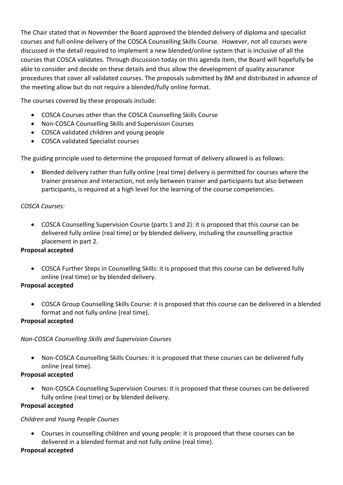The Chair stated that in November the Board approved the blended delivery of diploma and specialist courses and full online delivery of the COSCA Counselling Skills Course. However, not all courses were discussed in the detail required to implement a new blended/online system that is inclusive of all the courses that COSCA validates. Through discussion today on this agenda item, the Board will hopefully be able to consider and decide on these details and thus allow the development of quality assurance procedures that cover all validated courses. The proposals submitted by BM and distributed in advance of the meeting allow but do not require a blended/fully online format.

The courses covered by these proposals include:

- COSCA Courses other than the COSCA Counselling Skills Course
- Non-COSCA Counselling Skills and Supervision Courses
- COSCA validated children and young people
- COSCA validated Specialist courses

The guiding principle used to determine the proposed format of delivery allowed is as follows:

• Blended delivery rather than fully online (real time) delivery is permitted for courses where the trainer presence and interaction, not only between trainer and participants but also between participants, is required at a high level for the learning of the course competencies.

### *COSCA Courses:*

• COSCA Counselling Supervision Course (parts 1 and 2): it is proposed that this course can be delivered fully online (real time) or by blended delivery, including the counselling practice placement in part 2.

#### **Proposal accepted**

• COSCA Further Steps in Counselling Skills: it is proposed that this course can be delivered fully online (real time) or by blended delivery.

### **Proposal accepted**

• COSCA Group Counselling Skills Course: it is proposed that this course can be delivered in a blended format and not fully online (real time).

### **Proposal accepted**

### *Non-COSCA Counselling Skills and Supervision Courses*

• Non-COSCA Counselling Skills Courses: it is proposed that these courses can be delivered fully online (real time).

### **Proposal accepted**

• Non-COSCA Counselling Supervision Courses: it is proposed that these courses can be delivered fully online (real time) or by blended delivery.

### **Proposal accepted**

### *Children and Young People Courses*

• Courses in counselling children and young people: it is proposed that these courses can be delivered in a blended format and not fully online (real time).

### **Proposal accepted**